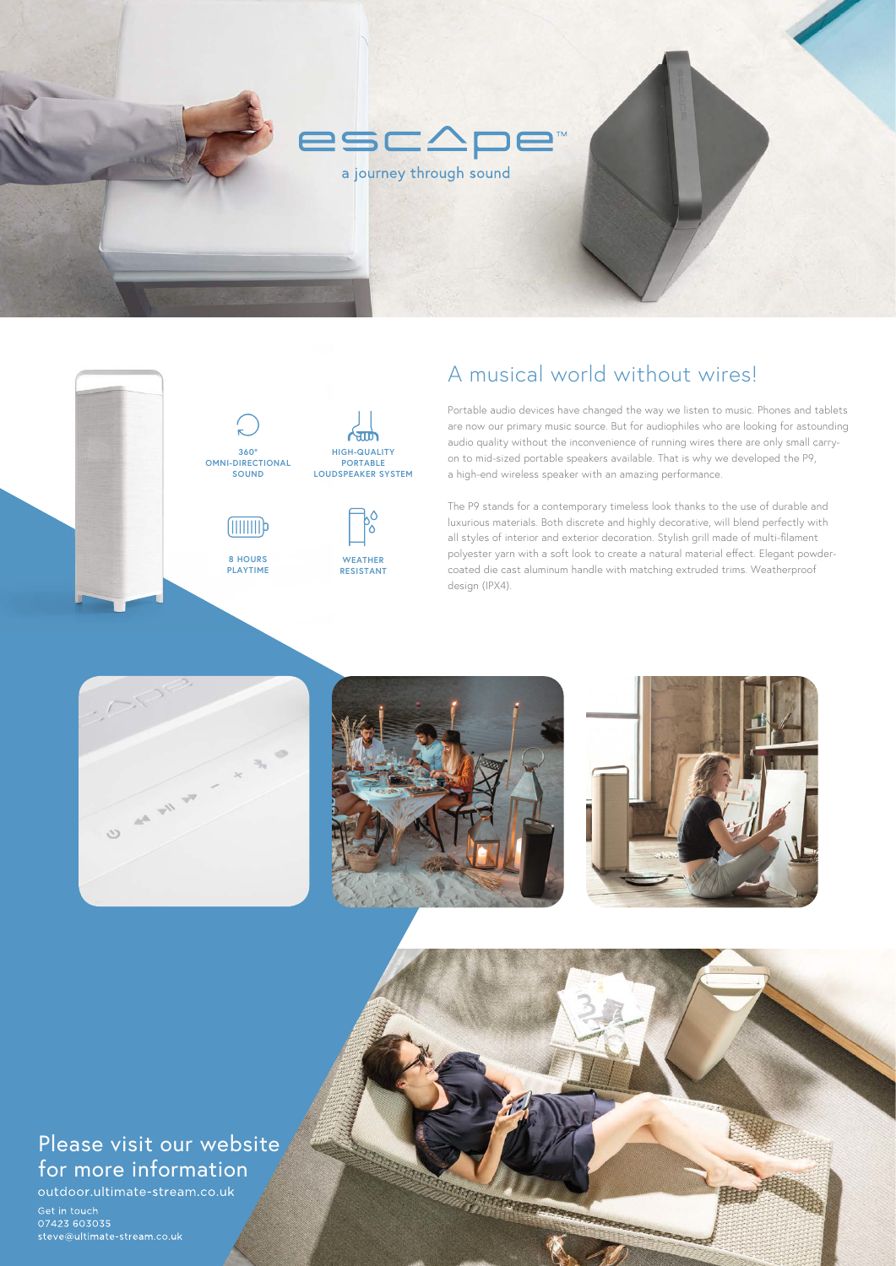# A musical world without wires!

**MARINE BERRIERE SERVICE** 

Portable audio devices have changed the way we listen to music. Phones and tablets are now our primary music source. But for audiophiles who are looking for astounding audio quality without the inconvenience of running wires there are only small carryon to mid-sized portable speakers available. That is why we developed the P9, a high-end wireless speaker with an amazing performance.

The P9 stands for a contemporary timeless look thanks to the use of durable and luxurious materials. Both discrete and highly decorative, will blend perfectly with all styles of interior and exterior decoration. Stylish grill made of multi-filament polyester yarn with a soft look to create a natural material effect. Elegant powdercoated die cast aluminum handle with matching extruded trims. Weatherproof design (IPX4).











# Please visit our website for more information

outdoor.ultimate-stream.co.uk

Get in touch 07423 603035 steve@ultimate-stream.co.uk